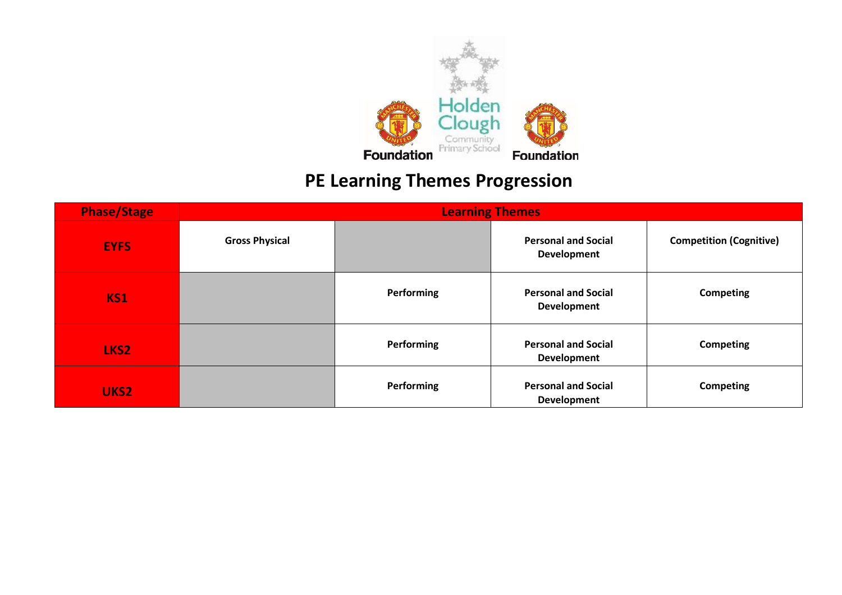

# **PE Learning Themes Progression**

| <b>Phase/Stage</b> | <b>Learning Themes</b> |            |                                           |                                |  |  |
|--------------------|------------------------|------------|-------------------------------------------|--------------------------------|--|--|
| <b>EYFS</b>        | <b>Gross Physical</b>  |            | <b>Personal and Social</b><br>Development | <b>Competition (Cognitive)</b> |  |  |
| <b>KS1</b>         |                        | Performing | <b>Personal and Social</b><br>Development | Competing                      |  |  |
| LKS <sub>2</sub>   |                        | Performing | <b>Personal and Social</b><br>Development | <b>Competing</b>               |  |  |
| UKS2               |                        | Performing | <b>Personal and Social</b><br>Development | Competing                      |  |  |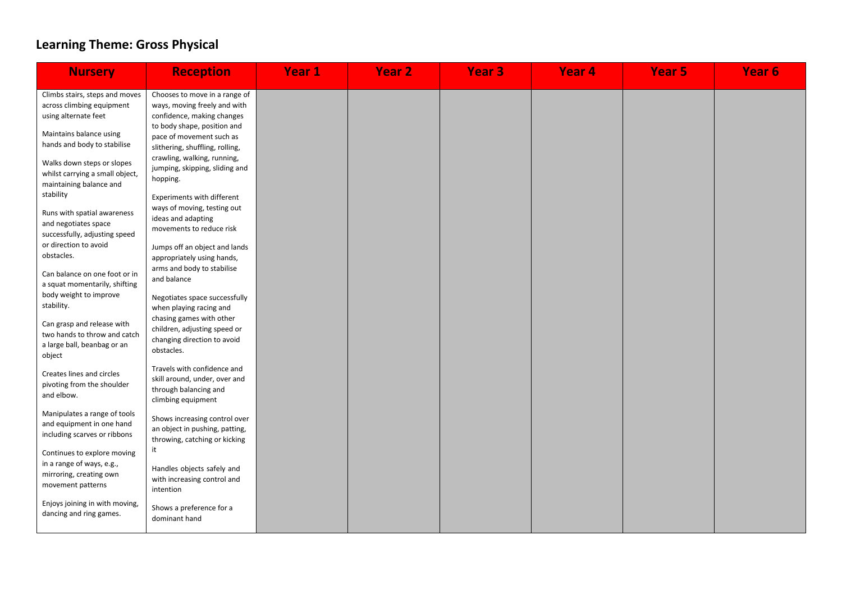## **Learning Theme: Gross Physical**

| <b>Nursery</b>                                                                                                                                | <b>Reception</b>                                                                                                                                                                          | <b>Year 1</b> | <b>Year 2</b> | <b>Year 3</b> | Year <sub>4</sub> | <b>Year 5</b> | Year <sub>6</sub> |
|-----------------------------------------------------------------------------------------------------------------------------------------------|-------------------------------------------------------------------------------------------------------------------------------------------------------------------------------------------|---------------|---------------|---------------|-------------------|---------------|-------------------|
| Climbs stairs, steps and moves<br>across climbing equipment<br>using alternate feet<br>Maintains balance using<br>hands and body to stabilise | Chooses to move in a range of<br>ways, moving freely and with<br>confidence, making changes<br>to body shape, position and<br>pace of movement such as<br>slithering, shuffling, rolling, |               |               |               |                   |               |                   |
| Walks down steps or slopes<br>whilst carrying a small object,<br>maintaining balance and<br>stability                                         | crawling, walking, running,<br>jumping, skipping, sliding and<br>hopping.<br>Experiments with different                                                                                   |               |               |               |                   |               |                   |
| Runs with spatial awareness<br>and negotiates space<br>successfully, adjusting speed<br>or direction to avoid                                 | ways of moving, testing out<br>ideas and adapting<br>movements to reduce risk                                                                                                             |               |               |               |                   |               |                   |
| obstacles.<br>Can balance on one foot or in<br>a squat momentarily, shifting                                                                  | Jumps off an object and lands<br>appropriately using hands,<br>arms and body to stabilise<br>and balance                                                                                  |               |               |               |                   |               |                   |
| body weight to improve<br>stability.                                                                                                          | Negotiates space successfully<br>when playing racing and                                                                                                                                  |               |               |               |                   |               |                   |
| Can grasp and release with<br>two hands to throw and catch<br>a large ball, beanbag or an<br>object                                           | chasing games with other<br>children, adjusting speed or<br>changing direction to avoid<br>obstacles.                                                                                     |               |               |               |                   |               |                   |
| Creates lines and circles<br>pivoting from the shoulder<br>and elbow.                                                                         | Travels with confidence and<br>skill around, under, over and<br>through balancing and<br>climbing equipment                                                                               |               |               |               |                   |               |                   |
| Manipulates a range of tools<br>and equipment in one hand<br>including scarves or ribbons                                                     | Shows increasing control over<br>an object in pushing, patting,<br>throwing, catching or kicking<br>it                                                                                    |               |               |               |                   |               |                   |
| Continues to explore moving<br>in a range of ways, e.g.,<br>mirroring, creating own<br>movement patterns                                      | Handles objects safely and<br>with increasing control and<br>intention                                                                                                                    |               |               |               |                   |               |                   |
| Enjoys joining in with moving,<br>dancing and ring games.                                                                                     | Shows a preference for a<br>dominant hand                                                                                                                                                 |               |               |               |                   |               |                   |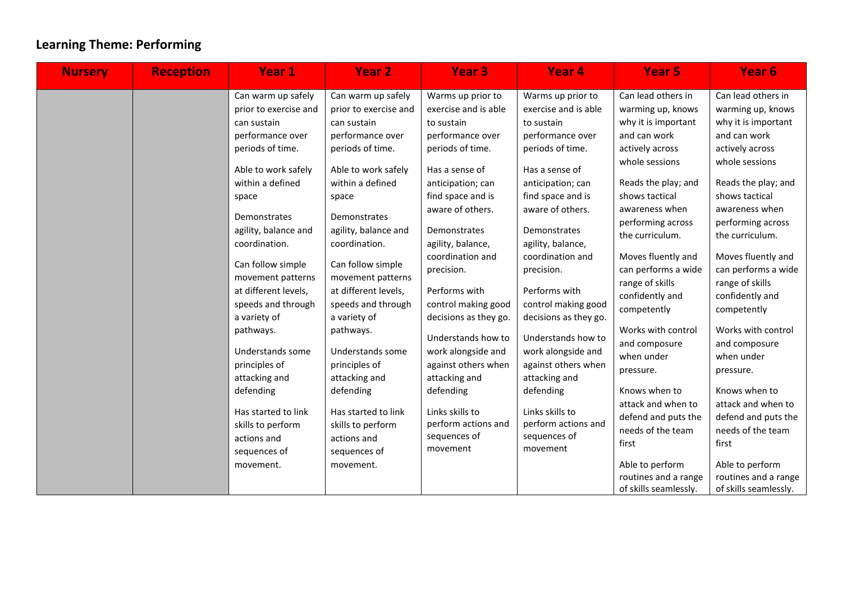## **Learning Theme: Performing**

| <b>Nursery</b> | <b>Reception</b> | Year 1                                                                                                                                                                                                                                                                                                                                                                                                                                                                                          | <b>Year 2</b>                                                                                                                                                                                                                                                                                                                                                                                                                                                                                   | Year <sub>3</sub>                                                                                                                                                                                                                                                                                                                                                                                                                                                                              | Year <sub>4</sub>                                                                                                                                                                                                                                                                                                                                                                                                                                                                              | <b>Year 5</b>                                                                                                                                                                                                                                                                                                                                                                                                                                                                                                                                              | Year <sub>6</sub>                                                                                                                                                                                                                                                                                                                                                                                                                                                                                                                                          |
|----------------|------------------|-------------------------------------------------------------------------------------------------------------------------------------------------------------------------------------------------------------------------------------------------------------------------------------------------------------------------------------------------------------------------------------------------------------------------------------------------------------------------------------------------|-------------------------------------------------------------------------------------------------------------------------------------------------------------------------------------------------------------------------------------------------------------------------------------------------------------------------------------------------------------------------------------------------------------------------------------------------------------------------------------------------|------------------------------------------------------------------------------------------------------------------------------------------------------------------------------------------------------------------------------------------------------------------------------------------------------------------------------------------------------------------------------------------------------------------------------------------------------------------------------------------------|------------------------------------------------------------------------------------------------------------------------------------------------------------------------------------------------------------------------------------------------------------------------------------------------------------------------------------------------------------------------------------------------------------------------------------------------------------------------------------------------|------------------------------------------------------------------------------------------------------------------------------------------------------------------------------------------------------------------------------------------------------------------------------------------------------------------------------------------------------------------------------------------------------------------------------------------------------------------------------------------------------------------------------------------------------------|------------------------------------------------------------------------------------------------------------------------------------------------------------------------------------------------------------------------------------------------------------------------------------------------------------------------------------------------------------------------------------------------------------------------------------------------------------------------------------------------------------------------------------------------------------|
|                |                  | Can warm up safely<br>prior to exercise and<br>can sustain<br>performance over<br>periods of time.<br>Able to work safely<br>within a defined<br>space<br>Demonstrates<br>agility, balance and<br>coordination.<br>Can follow simple<br>movement patterns<br>at different levels,<br>speeds and through<br>a variety of<br>pathways.<br>Understands some<br>principles of<br>attacking and<br>defending<br>Has started to link<br>skills to perform<br>actions and<br>sequences of<br>movement. | Can warm up safely<br>prior to exercise and<br>can sustain<br>performance over<br>periods of time.<br>Able to work safely<br>within a defined<br>space<br>Demonstrates<br>agility, balance and<br>coordination.<br>Can follow simple<br>movement patterns<br>at different levels,<br>speeds and through<br>a variety of<br>pathways.<br>Understands some<br>principles of<br>attacking and<br>defending<br>Has started to link<br>skills to perform<br>actions and<br>sequences of<br>movement. | Warms up prior to<br>exercise and is able<br>to sustain<br>performance over<br>periods of time.<br>Has a sense of<br>anticipation; can<br>find space and is<br>aware of others.<br>Demonstrates<br>agility, balance,<br>coordination and<br>precision.<br>Performs with<br>control making good<br>decisions as they go.<br>Understands how to<br>work alongside and<br>against others when<br>attacking and<br>defending<br>Links skills to<br>perform actions and<br>sequences of<br>movement | Warms up prior to<br>exercise and is able<br>to sustain<br>performance over<br>periods of time.<br>Has a sense of<br>anticipation; can<br>find space and is<br>aware of others.<br>Demonstrates<br>agility, balance,<br>coordination and<br>precision.<br>Performs with<br>control making good<br>decisions as they go.<br>Understands how to<br>work alongside and<br>against others when<br>attacking and<br>defending<br>Links skills to<br>perform actions and<br>sequences of<br>movement | Can lead others in<br>warming up, knows<br>why it is important<br>and can work<br>actively across<br>whole sessions<br>Reads the play; and<br>shows tactical<br>awareness when<br>performing across<br>the curriculum.<br>Moves fluently and<br>can performs a wide<br>range of skills<br>confidently and<br>competently<br>Works with control<br>and composure<br>when under<br>pressure.<br>Knows when to<br>attack and when to<br>defend and puts the<br>needs of the team<br>first<br>Able to perform<br>routines and a range<br>of skills seamlessly. | Can lead others in<br>warming up, knows<br>why it is important<br>and can work<br>actively across<br>whole sessions<br>Reads the play; and<br>shows tactical<br>awareness when<br>performing across<br>the curriculum.<br>Moves fluently and<br>can performs a wide<br>range of skills<br>confidently and<br>competently<br>Works with control<br>and composure<br>when under<br>pressure.<br>Knows when to<br>attack and when to<br>defend and puts the<br>needs of the team<br>first<br>Able to perform<br>routines and a range<br>of skills seamlessly. |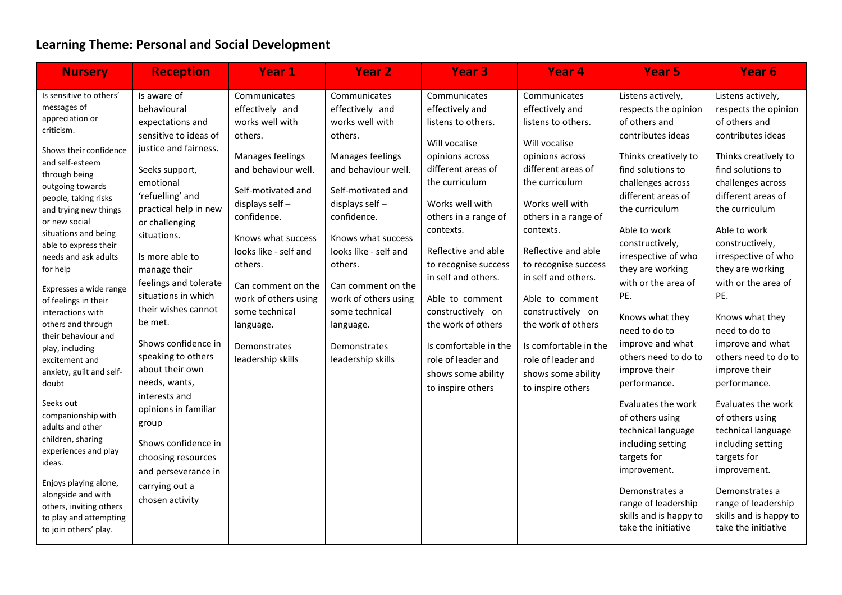## **Learning Theme: Personal and Social Development**

| <b>Nursery</b>                                                                                                                                                                                                                                                                                                                                                                                                                                                                                                                                                                                                                                                                                                                                            | <b>Reception</b>                                                                                                                                                                                                                                                                                                                                                                                                                                                                                                                                                               | <b>Year 1</b>                                                                                                                                                                                                                                                                                                                               | <b>Year 2</b>                                                                                                                                                                                                                                                                                                                               | <b>Year 3</b>                                                                                                                                                                                                                                                                                                                                                                                                           | Year <sub>4</sub>                                                                                                                                                                                                                                                                                                                                                                                                       | <b>Year 5</b>                                                                                                                                                                                                                                                                                                                                                                                                                                                                                                                                                                                                                       | Year <sub>6</sub>                                                                                                                                                                                                                                                                                                                                                                                                                                                                                                                                                                                                                   |
|-----------------------------------------------------------------------------------------------------------------------------------------------------------------------------------------------------------------------------------------------------------------------------------------------------------------------------------------------------------------------------------------------------------------------------------------------------------------------------------------------------------------------------------------------------------------------------------------------------------------------------------------------------------------------------------------------------------------------------------------------------------|--------------------------------------------------------------------------------------------------------------------------------------------------------------------------------------------------------------------------------------------------------------------------------------------------------------------------------------------------------------------------------------------------------------------------------------------------------------------------------------------------------------------------------------------------------------------------------|---------------------------------------------------------------------------------------------------------------------------------------------------------------------------------------------------------------------------------------------------------------------------------------------------------------------------------------------|---------------------------------------------------------------------------------------------------------------------------------------------------------------------------------------------------------------------------------------------------------------------------------------------------------------------------------------------|-------------------------------------------------------------------------------------------------------------------------------------------------------------------------------------------------------------------------------------------------------------------------------------------------------------------------------------------------------------------------------------------------------------------------|-------------------------------------------------------------------------------------------------------------------------------------------------------------------------------------------------------------------------------------------------------------------------------------------------------------------------------------------------------------------------------------------------------------------------|-------------------------------------------------------------------------------------------------------------------------------------------------------------------------------------------------------------------------------------------------------------------------------------------------------------------------------------------------------------------------------------------------------------------------------------------------------------------------------------------------------------------------------------------------------------------------------------------------------------------------------------|-------------------------------------------------------------------------------------------------------------------------------------------------------------------------------------------------------------------------------------------------------------------------------------------------------------------------------------------------------------------------------------------------------------------------------------------------------------------------------------------------------------------------------------------------------------------------------------------------------------------------------------|
| Is sensitive to others'<br>messages of<br>appreciation or<br>criticism.<br>Shows their confidence<br>and self-esteem<br>through being<br>outgoing towards<br>people, taking risks<br>and trying new things<br>or new social<br>situations and being<br>able to express their<br>needs and ask adults<br>for help<br>Expresses a wide range<br>of feelings in their<br>interactions with<br>others and through<br>their behaviour and<br>play, including<br>excitement and<br>anxiety, guilt and self-<br>doubt<br>Seeks out<br>companionship with<br>adults and other<br>children, sharing<br>experiences and play<br>ideas.<br>Enjoys playing alone,<br>alongside and with<br>others, inviting others<br>to play and attempting<br>to join others' play. | Is aware of<br>behavioural<br>expectations and<br>sensitive to ideas of<br>justice and fairness.<br>Seeks support,<br>emotional<br>'refuelling' and<br>practical help in new<br>or challenging<br>situations.<br>Is more able to<br>manage their<br>feelings and tolerate<br>situations in which<br>their wishes cannot<br>be met.<br>Shows confidence in<br>speaking to others<br>about their own<br>needs, wants,<br>interests and<br>opinions in familiar<br>group<br>Shows confidence in<br>choosing resources<br>and perseverance in<br>carrying out a<br>chosen activity | Communicates<br>effectively and<br>works well with<br>others.<br>Manages feelings<br>and behaviour well.<br>Self-motivated and<br>displays self-<br>confidence.<br>Knows what success<br>looks like - self and<br>others.<br>Can comment on the<br>work of others using<br>some technical<br>language.<br>Demonstrates<br>leadership skills | Communicates<br>effectively and<br>works well with<br>others.<br>Manages feelings<br>and behaviour well.<br>Self-motivated and<br>displays self-<br>confidence.<br>Knows what success<br>looks like - self and<br>others.<br>Can comment on the<br>work of others using<br>some technical<br>language.<br>Demonstrates<br>leadership skills | Communicates<br>effectively and<br>listens to others.<br>Will vocalise<br>opinions across<br>different areas of<br>the curriculum<br>Works well with<br>others in a range of<br>contexts.<br>Reflective and able<br>to recognise success<br>in self and others.<br>Able to comment<br>constructively on<br>the work of others<br>Is comfortable in the<br>role of leader and<br>shows some ability<br>to inspire others | Communicates<br>effectively and<br>listens to others.<br>Will vocalise<br>opinions across<br>different areas of<br>the curriculum<br>Works well with<br>others in a range of<br>contexts.<br>Reflective and able<br>to recognise success<br>in self and others.<br>Able to comment<br>constructively on<br>the work of others<br>Is comfortable in the<br>role of leader and<br>shows some ability<br>to inspire others | Listens actively,<br>respects the opinion<br>of others and<br>contributes ideas<br>Thinks creatively to<br>find solutions to<br>challenges across<br>different areas of<br>the curriculum<br>Able to work<br>constructively,<br>irrespective of who<br>they are working<br>with or the area of<br>PE.<br>Knows what they<br>need to do to<br>improve and what<br>others need to do to<br>improve their<br>performance.<br>Evaluates the work<br>of others using<br>technical language<br>including setting<br>targets for<br>improvement.<br>Demonstrates a<br>range of leadership<br>skills and is happy to<br>take the initiative | Listens actively,<br>respects the opinion<br>of others and<br>contributes ideas<br>Thinks creatively to<br>find solutions to<br>challenges across<br>different areas of<br>the curriculum<br>Able to work<br>constructively,<br>irrespective of who<br>they are working<br>with or the area of<br>PE.<br>Knows what they<br>need to do to<br>improve and what<br>others need to do to<br>improve their<br>performance.<br>Evaluates the work<br>of others using<br>technical language<br>including setting<br>targets for<br>improvement.<br>Demonstrates a<br>range of leadership<br>skills and is happy to<br>take the initiative |